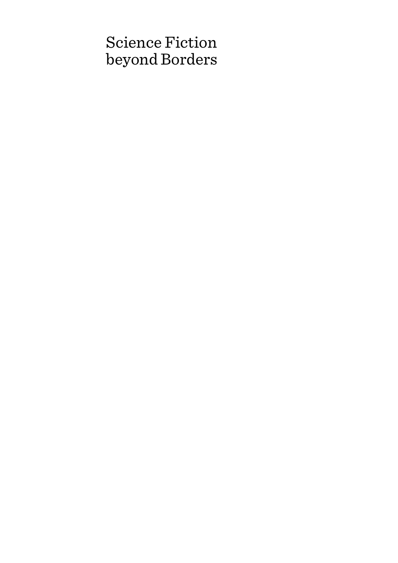# Science Fiction beyond Borders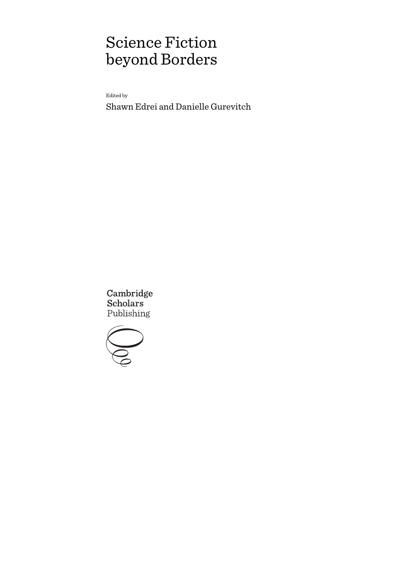# Science Fiction beyond Borders

Edited by

Shawn Edrei and Danielle Gurevitch

Cambridge **Scholars** Publishing

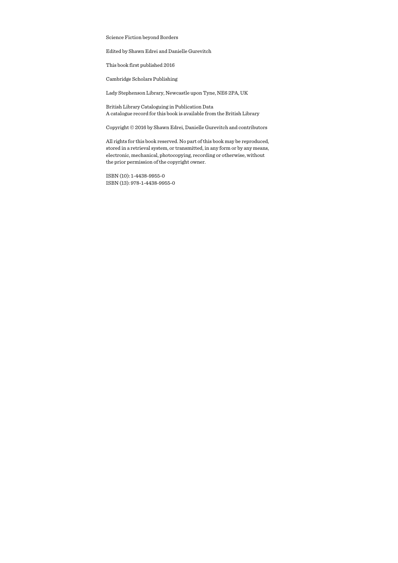Science Fiction beyond Borders

Edited by Shawn Edrei and Danielle Gurevitch

This book first published 2016

Cambridge Scholars Publishing

Lady Stephenson Library, Newcastle upon Tyne, NE6 2PA, UK

British Library Cataloguing in Publication Data A catalogue record for this book is available from the British Library

Copyright © 2016 by Shawn Edrei, Danielle Gurevitch and contributors

All rights for this book reserved. No part of this book may be reproduced, stored in a retrieval system, or transmitted, in any form or by any means, electronic, mechanical, photocopying, recording or otherwise, without the prior permission of the copyright owner.

ISBN (10): 1-4438-9955-0 ISBN (13): 978-1-4438-9955-0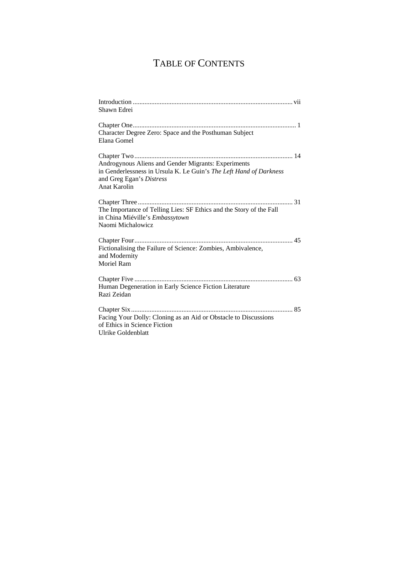## TABLE OF CONTENTS

| Shawn Edrei                                                                                                                                                           |
|-----------------------------------------------------------------------------------------------------------------------------------------------------------------------|
| Character Degree Zero: Space and the Posthuman Subject<br>Elana Gomel                                                                                                 |
| Androgynous Aliens and Gender Migrants: Experiments<br>in Genderlessness in Ursula K. Le Guin's The Left Hand of Darkness<br>and Greg Egan's Distress<br>Anat Karolin |
| The Importance of Telling Lies: SF Ethics and the Story of the Fall<br>in China Miéville's Embassytown<br>Naomi Michalowicz                                           |
| Fictionalising the Failure of Science: Zombies, Ambivalence,<br>and Modernity<br>Moriel Ram                                                                           |
| Human Degeneration in Early Science Fiction Literature<br>Razi Zeidan                                                                                                 |
| Facing Your Dolly: Cloning as an Aid or Obstacle to Discussions<br>of Ethics in Science Fiction<br>Ulrike Goldenblatt                                                 |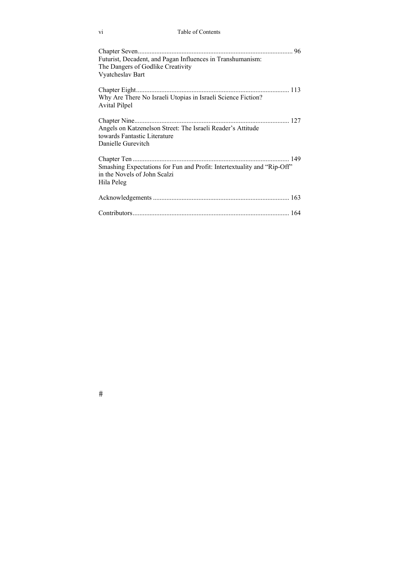#### Table of Contents

| Futurist, Decadent, and Pagan Influences in Transhumanism:<br>The Dangers of Godlike Creativity<br>Vyatcheslav Bart   |
|-----------------------------------------------------------------------------------------------------------------------|
| Why Are There No Israeli Utopias in Israeli Science Fiction?<br>Avital Pilpel                                         |
| Angels on Katzenelson Street: The Israeli Reader's Attitude<br>towards Fantastic Literature<br>Danielle Gurevitch     |
| Smashing Expectations for Fun and Profit: Intertextuality and "Rip-Off"<br>in the Novels of John Scalzi<br>Hila Peleg |
|                                                                                                                       |
|                                                                                                                       |

vi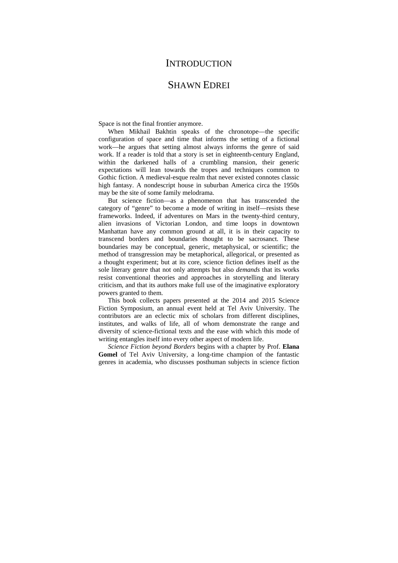### **INTRODUCTION**

### SHAWN EDREI

Space is not the final frontier anymore.

When Mikhail Bakhtin speaks of the chronotope—the specific configuration of space and time that informs the setting of a fictional work—he argues that setting almost always informs the genre of said work. If a reader is told that a story is set in eighteenth-century England, within the darkened halls of a crumbling mansion, their generic expectations will lean towards the tropes and techniques common to Gothic fiction. A medieval-esque realm that never existed connotes classic high fantasy. A nondescript house in suburban America circa the 1950s may be the site of some family melodrama.

But science fiction—as a phenomenon that has transcended the category of "genre" to become a mode of writing in itself—resists these frameworks. Indeed, if adventures on Mars in the twenty-third century, alien invasions of Victorian London, and time loops in downtown Manhattan have any common ground at all, it is in their capacity to transcend borders and boundaries thought to be sacrosanct. These boundaries may be conceptual, generic, metaphysical, or scientific; the method of transgression may be metaphorical, allegorical, or presented as a thought experiment; but at its core, science fiction defines itself as the sole literary genre that not only attempts but also *demands* that its works resist conventional theories and approaches in storytelling and literary criticism, and that its authors make full use of the imaginative exploratory powers granted to them.

This book collects papers presented at the 2014 and 2015 Science Fiction Symposium, an annual event held at Tel Aviv University. The contributors are an eclectic mix of scholars from different disciplines, institutes, and walks of life, all of whom demonstrate the range and diversity of science-fictional texts and the ease with which this mode of writing entangles itself into every other aspect of modern life.

*Science Fiction beyond Borders* begins with a chapter by Prof. **Elana Gomel** of Tel Aviv University, a long-time champion of the fantastic genres in academia, who discusses posthuman subjects in science fiction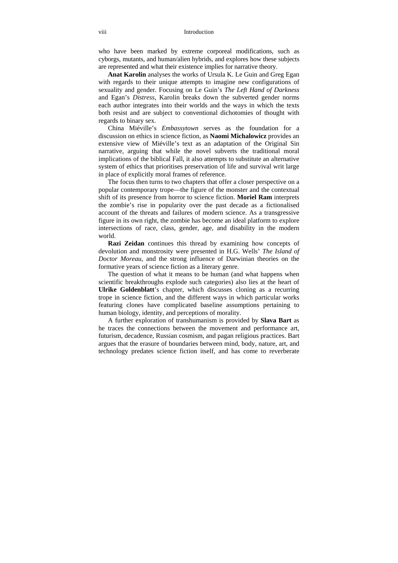who have been marked by extreme corporeal modifications, such as cyborgs, mutants, and human/alien hybrids, and explores how these subjects are represented and what their existence implies for narrative theory.

**Anat Karolin** analyses the works of Ursula K. Le Guin and Greg Egan with regards to their unique attempts to imagine new configurations of sexuality and gender. Focusing on Le Guin's *The Left Hand of Darkness*  and Egan's *Distress*, Karolin breaks down the subverted gender norms each author integrates into their worlds and the ways in which the texts both resist and are subject to conventional dichotomies of thought with regards to binary sex.

China Miéville's *Embassytown* serves as the foundation for a discussion on ethics in science fiction, as **Naomi Michalowicz** provides an extensive view of Miéville's text as an adaptation of the Original Sin narrative, arguing that while the novel subverts the traditional moral implications of the biblical Fall, it also attempts to substitute an alternative system of ethics that prioritises preservation of life and survival writ large in place of explicitly moral frames of reference.

The focus then turns to two chapters that offer a closer perspective on a popular contemporary trope—the figure of the monster and the contextual shift of its presence from horror to science fiction. **Moriel Ram** interprets the zombie's rise in popularity over the past decade as a fictionalised account of the threats and failures of modern science. As a transgressive figure in its own right, the zombie has become an ideal platform to explore intersections of race, class, gender, age, and disability in the modern world.

**Razi Zeidan** continues this thread by examining how concepts of devolution and monstrosity were presented in H.G. Wells' *The Island of Doctor Moreau*, and the strong influence of Darwinian theories on the formative years of science fiction as a literary genre.

The question of what it means to be human (and what happens when scientific breakthroughs explode such categories) also lies at the heart of **Ulrike Goldenblatt**'s chapter, which discusses cloning as a recurring trope in science fiction, and the different ways in which particular works featuring clones have complicated baseline assumptions pertaining to human biology, identity, and perceptions of morality.

A further exploration of transhumanism is provided by **Slava Bart** as he traces the connections between the movement and performance art, futurism, decadence, Russian cosmism, and pagan religious practices. Bart argues that the erasure of boundaries between mind, body, nature, art, and technology predates science fiction itself, and has come to reverberate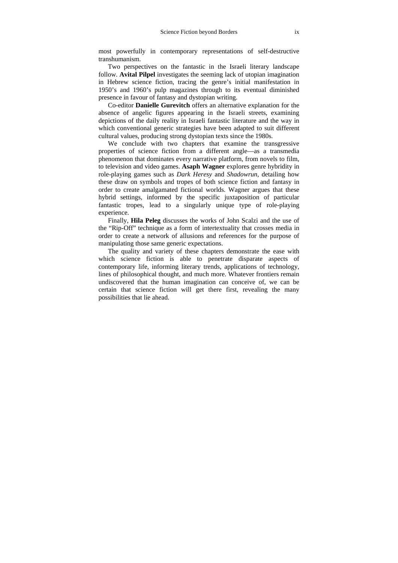most powerfully in contemporary representations of self-destructive transhumanism.

Two perspectives on the fantastic in the Israeli literary landscape follow. **Avital Pilpel** investigates the seeming lack of utopian imagination in Hebrew science fiction, tracing the genre's initial manifestation in 1950's and 1960's pulp magazines through to its eventual diminished presence in favour of fantasy and dystopian writing.

Co-editor **Danielle Gurevitch** offers an alternative explanation for the absence of angelic figures appearing in the Israeli streets, examining depictions of the daily reality in Israeli fantastic literature and the way in which conventional generic strategies have been adapted to suit different cultural values, producing strong dystopian texts since the 1980s.

We conclude with two chapters that examine the transgressive properties of science fiction from a different angle—as a transmedia phenomenon that dominates every narrative platform, from novels to film, to television and video games. **Asaph Wagner** explores genre hybridity in role-playing games such as *Dark Heresy* and *Shadowrun*, detailing how these draw on symbols and tropes of both science fiction and fantasy in order to create amalgamated fictional worlds. Wagner argues that these hybrid settings, informed by the specific juxtaposition of particular fantastic tropes, lead to a singularly unique type of role-playing experience.

Finally, **Hila Peleg** discusses the works of John Scalzi and the use of the "Rip-Off" technique as a form of intertextuality that crosses media in order to create a network of allusions and references for the purpose of manipulating those same generic expectations.

The quality and variety of these chapters demonstrate the ease with which science fiction is able to penetrate disparate aspects of contemporary life, informing literary trends, applications of technology, lines of philosophical thought, and much more. Whatever frontiers remain undiscovered that the human imagination can conceive of, we can be certain that science fiction will get there first, revealing the many possibilities that lie ahead.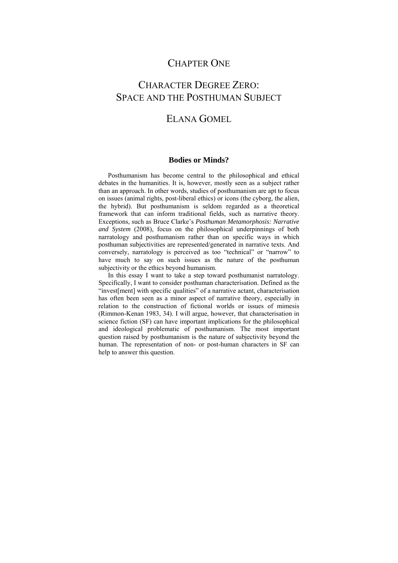## CHAPTER ONE

## CHARACTER DEGREE ZERO: SPACE AND THE POSTHUMAN SUBJECT

## ELANA GOMEL

#### **Bodies or Minds?**

Posthumanism has become central to the philosophical and ethical debates in the humanities. It is, however, mostly seen as a subject rather than an approach. In other words, studies of posthumanism are apt to focus on issues (animal rights, post-liberal ethics) or icons (the cyborg, the alien, the hybrid). But posthumanism is seldom regarded as a theoretical framework that can inform traditional fields, such as narrative theory. Exceptions, such as Bruce Clarke's *Posthuman Metamorphosis: Narrative and System* (2008), focus on the philosophical underpinnings of both narratology and posthumanism rather than on specific ways in which posthuman subjectivities are represented/generated in narrative texts. And conversely, narratology is perceived as too "technical" or "narrow" to have much to say on such issues as the nature of the posthuman subjectivity or the ethics beyond humanism.

In this essay I want to take a step toward posthumanist narratology. Specifically, I want to consider posthuman characterisation. Defined as the "invest[ment] with specific qualities" of a narrative actant, characterisation has often been seen as a minor aspect of narrative theory, especially in relation to the construction of fictional worlds or issues of mimesis (Rimmon-Kenan 1983, 34). I will argue, however, that characterisation in science fiction (SF) can have important implications for the philosophical and ideological problematic of posthumanism. The most important question raised by posthumanism is the nature of subjectivity beyond the human. The representation of non- or post-human characters in SF can help to answer this question.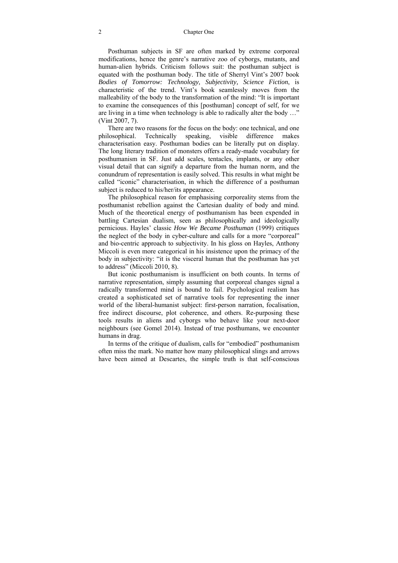#### 2 Chapter One

Posthuman subjects in SF are often marked by extreme corporeal modifications, hence the genre's narrative zoo of cyborgs, mutants, and human-alien hybrids. Criticism follows suit: the posthuman subject is equated with the posthuman body. The title of Sherryl Vint's 2007 book *Bodies of Tomorrow: Technology, Subjectivity, Science Fiction*, is characteristic of the trend. Vint's book seamlessly moves from the malleability of the body to the transformation of the mind: "It is important to examine the consequences of this [posthuman] concept of self, for we are living in a time when technology is able to radically alter the body …" (Vint 2007, 7).

There are two reasons for the focus on the body: one technical, and one philosophical. Technically speaking, visible difference makes characterisation easy. Posthuman bodies can be literally put on display. The long literary tradition of monsters offers a ready-made vocabulary for posthumanism in SF. Just add scales, tentacles, implants, or any other visual detail that can signify a departure from the human norm, and the conundrum of representation is easily solved. This results in what might be called "iconic" characterisation, in which the difference of a posthuman subject is reduced to his/her/its appearance.

The philosophical reason for emphasising corporeality stems from the posthumanist rebellion against the Cartesian duality of body and mind. Much of the theoretical energy of posthumanism has been expended in battling Cartesian dualism, seen as philosophically and ideologically pernicious. Hayles' classic *How We Became Posthuman* (1999) critiques the neglect of the body in cyber-culture and calls for a more "corporeal" and bio-centric approach to subjectivity. In his gloss on Hayles, Anthony Miccoli is even more categorical in his insistence upon the primacy of the body in subjectivity: "it is the visceral human that the posthuman has yet to address" (Miccoli 2010, 8).

But iconic posthumanism is insufficient on both counts. In terms of narrative representation, simply assuming that corporeal changes signal a radically transformed mind is bound to fail. Psychological realism has created a sophisticated set of narrative tools for representing the inner world of the liberal-humanist subject: first-person narration, focalisation, free indirect discourse, plot coherence, and others. Re-purposing these tools results in aliens and cyborgs who behave like your next-door neighbours (see Gomel 2014). Instead of true posthumans, we encounter humans in drag.

In terms of the critique of dualism, calls for "embodied" posthumanism often miss the mark. No matter how many philosophical slings and arrows have been aimed at Descartes, the simple truth is that self-conscious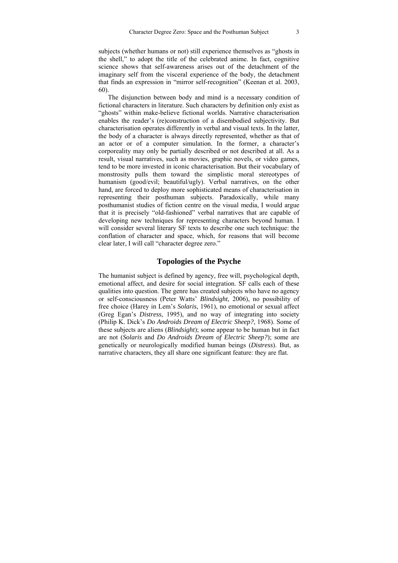subjects (whether humans or not) still experience themselves as "ghosts in the shell," to adopt the title of the celebrated anime. In fact, cognitive science shows that self-awareness arises out of the detachment of the imaginary self from the visceral experience of the body, the detachment that finds an expression in "mirror self-recognition" (Keenan et al. 2003, 60).

The disjunction between body and mind is a necessary condition of fictional characters in literature. Such characters by definition only exist as "ghosts" within make-believe fictional worlds. Narrative characterisation enables the reader's (re)construction of a disembodied subjectivity. But characterisation operates differently in verbal and visual texts. In the latter, the body of a character is always directly represented, whether as that of an actor or of a computer simulation. In the former, a character's corporeality may only be partially described or not described at all. As a result, visual narratives, such as movies, graphic novels, or video games, tend to be more invested in iconic characterisation. But their vocabulary of monstrosity pulls them toward the simplistic moral stereotypes of humanism (good/evil; beautiful/ugly). Verbal narratives, on the other hand, are forced to deploy more sophisticated means of characterisation in representing their posthuman subjects. Paradoxically, while many posthumanist studies of fiction centre on the visual media, I would argue that it is precisely "old-fashioned" verbal narratives that are capable of developing new techniques for representing characters beyond human. I will consider several literary SF texts to describe one such technique: the conflation of character and space, which, for reasons that will become clear later, I will call "character degree zero."

#### **Topologies of the Psyche**

The humanist subject is defined by agency, free will, psychological depth, emotional affect, and desire for social integration. SF calls each of these qualities into question. The genre has created subjects who have no agency or self-consciousness (Peter Watts' *Blindsight*, 2006), no possibility of free choice (Harey in Lem's *Solaris*, 1961), no emotional or sexual affect (Greg Egan's *Distress*, 1995), and no way of integrating into society (Philip K. Dick's *Do Androids Dream of Electric Sheep?*, 1968). Some of these subjects are aliens (*Blindsight*); some appear to be human but in fact are not (*Solaris* and *Do Androids Dream of Electric Sheep?*); some are genetically or neurologically modified human beings (*Distress*). But, as narrative characters, they all share one significant feature: they are flat.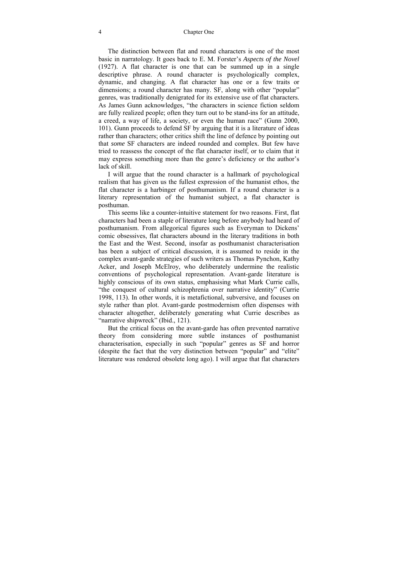The distinction between flat and round characters is one of the most basic in narratology. It goes back to E. M. Forster's *Aspects of the Novel* (1927). A flat character is one that can be summed up in a single descriptive phrase. A round character is psychologically complex, dynamic, and changing. A flat character has one or a few traits or dimensions; a round character has many. SF, along with other "popular" genres, was traditionally denigrated for its extensive use of flat characters. As James Gunn acknowledges, "the characters in science fiction seldom are fully realized people; often they turn out to be stand-ins for an attitude, a creed, a way of life, a society, or even the human race" (Gunn 2000, 101). Gunn proceeds to defend SF by arguing that it is a literature of ideas rather than characters; other critics shift the line of defence by pointing out that *some* SF characters are indeed rounded and complex. But few have tried to reassess the concept of the flat character itself, or to claim that it may express something more than the genre's deficiency or the author's lack of skill.

I will argue that the round character is a hallmark of psychological realism that has given us the fullest expression of the humanist ethos, the flat character is a harbinger of posthumanism. If a round character is a literary representation of the humanist subject, a flat character is posthuman.

This seems like a counter-intuitive statement for two reasons. First, flat characters had been a staple of literature long before anybody had heard of posthumanism. From allegorical figures such as Everyman to Dickens' comic obsessives, flat characters abound in the literary traditions in both the East and the West. Second, insofar as posthumanist characterisation has been a subject of critical discussion, it is assumed to reside in the complex avant-garde strategies of such writers as Thomas Pynchon, Kathy Acker, and Joseph McElroy, who deliberately undermine the realistic conventions of psychological representation. Avant-garde literature is highly conscious of its own status, emphasising what Mark Currie calls, "the conquest of cultural schizophrenia over narrative identity" (Currie 1998, 113). In other words, it is metafictional, subversive, and focuses on style rather than plot. Avant-garde postmodernism often dispenses with character altogether, deliberately generating what Currie describes as "narrative shipwreck" (Ibid., 121).

But the critical focus on the avant-garde has often prevented narrative theory from considering more subtle instances of posthumanist characterisation, especially in such "popular" genres as SF and horror (despite the fact that the very distinction between "popular" and "elite" literature was rendered obsolete long ago). I will argue that flat characters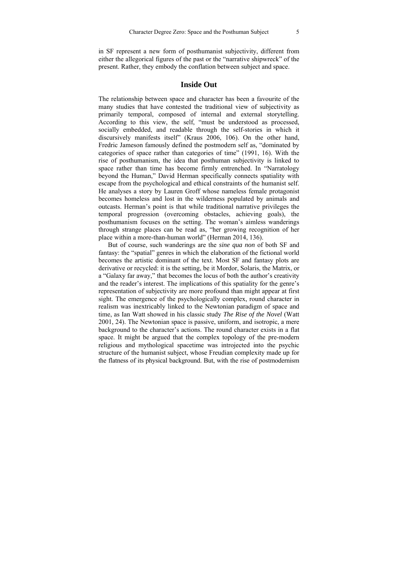#### **Inside Out**

present. Rather, they embody the conflation between subject and space.

The relationship between space and character has been a favourite of the many studies that have contested the traditional view of subjectivity as primarily temporal, composed of internal and external storytelling. According to this view, the self, "must be understood as processed, socially embedded, and readable through the self-stories in which it discursively manifests itself" (Kraus 2006, 106). On the other hand, Fredric Jameson famously defined the postmodern self as, "dominated by categories of space rather than categories of time" (1991, 16). With the rise of posthumanism, the idea that posthuman subjectivity is linked to space rather than time has become firmly entrenched. In "Narratology beyond the Human," David Herman specifically connects spatiality with escape from the psychological and ethical constraints of the humanist self. He analyses a story by Lauren Groff whose nameless female protagonist becomes homeless and lost in the wilderness populated by animals and outcasts. Herman's point is that while traditional narrative privileges the temporal progression (overcoming obstacles, achieving goals), the posthumanism focuses on the setting. The woman's aimless wanderings through strange places can be read as, "her growing recognition of her place within a more-than-human world" (Herman 2014, 136).

But of course, such wanderings are the *sine qua non* of both SF and fantasy: the "spatial" genres in which the elaboration of the fictional world becomes the artistic dominant of the text. Most SF and fantasy plots are derivative or recycled: it is the setting, be it Mordor, Solaris, the Matrix, or a "Galaxy far away," that becomes the locus of both the author's creativity and the reader's interest. The implications of this spatiality for the genre's representation of subjectivity are more profound than might appear at first sight. The emergence of the psychologically complex, round character in realism was inextricably linked to the Newtonian paradigm of space and time, as Ian Watt showed in his classic study *The Rise of the Novel* (Watt 2001, 24). The Newtonian space is passive, uniform, and isotropic, a mere background to the character's actions. The round character exists in a flat space. It might be argued that the complex topology of the pre-modern religious and mythological spacetime was introjected into the psychic structure of the humanist subject, whose Freudian complexity made up for the flatness of its physical background. But, with the rise of postmodernism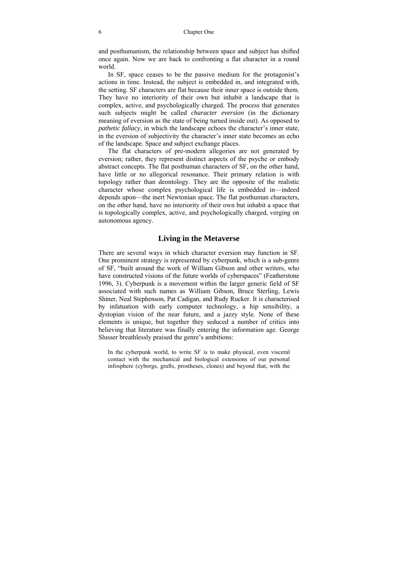and posthumanism, the relationship between space and subject has shifted once again. Now we are back to confronting a flat character in a round world.

In SF, space ceases to be the passive medium for the protagonist's actions in time. Instead, the subject is embedded in, and integrated with, the setting. SF characters are flat because their inner space is outside them. They have no interiority of their own but inhabit a landscape that is complex, active, and psychologically charged. The process that generates such subjects might be called *character eversion* (in the dictionary meaning of eversion as the state of being turned inside out). As opposed to *pathetic fallacy*, in which the landscape echoes the character's inner state, in the eversion of subjectivity the character's inner state becomes an echo of the landscape. Space and subject exchange places.

The flat characters of pre-modern allegories are not generated by eversion; rather, they represent distinct aspects of the psyche or embody abstract concepts. The flat posthuman characters of SF, on the other hand, have little or no allegorical resonance. Their primary relation is with topology rather than deontology. They are the opposite of the realistic character whose complex psychological life is embedded in—indeed depends upon—the inert Newtonian space. The flat posthuman characters, on the other hand, have no interiority of their own but inhabit a space that is topologically complex, active, and psychologically charged, verging on autonomous agency.

#### **Living in the Metaverse**

There are several ways in which character eversion may function in SF. One prominent strategy is represented by cyberpunk, which is a sub-genre of SF, "built around the work of William Gibson and other writers, who have constructed visions of the future worlds of cyberspaces" (Featherstone 1996, 3). Cyberpunk is a movement within the larger generic field of SF associated with such names as William Gibson, Bruce Sterling, Lewis Shiner, Neal Stephenson, Pat Cadigan, and Rudy Rucker. It is characterised by infatuation with early computer technology, a hip sensibility, a dystopian vision of the near future, and a jazzy style. None of these elements is unique, but together they seduced a number of critics into believing that literature was finally entering the information age. George Slusser breathlessly praised the genre's ambitions:

In the cyberpunk world, to write SF is to make physical, even visceral contact with the mechanical and biological extensions of our personal infosphere (cyborgs, grafts, prostheses, clones) and beyond that, with the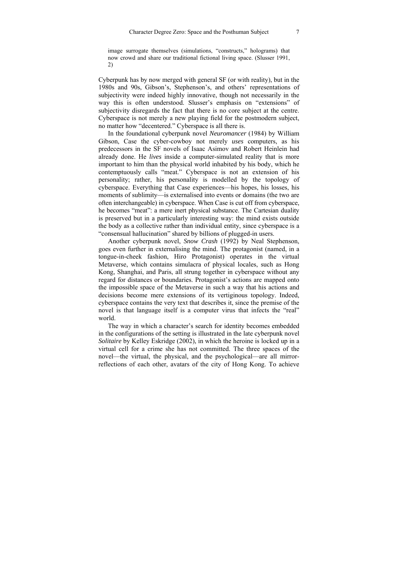image surrogate themselves (simulations, "constructs," holograms) that now crowd and share our traditional fictional living space. (Slusser 1991, 2)

Cyberpunk has by now merged with general SF (or with reality), but in the 1980s and 90s, Gibson's, Stephenson's, and others' representations of subjectivity were indeed highly innovative, though not necessarily in the way this is often understood. Slusser's emphasis on "extensions" of subjectivity disregards the fact that there is no core subject at the centre. Cyberspace is not merely a new playing field for the postmodern subject, no matter how "decentered." Cyberspace is all there is.

In the foundational cyberpunk novel *Neuromancer* (1984) by William Gibson, Case the cyber-cowboy not merely *uses* computers, as his predecessors in the SF novels of Isaac Asimov and Robert Heinlein had already done. He *lives* inside a computer-simulated reality that is more important to him than the physical world inhabited by his body, which he contemptuously calls "meat." Cyberspace is not an extension of his personality; rather, his personality is modelled by the topology of cyberspace. Everything that Case experiences—his hopes, his losses, his moments of sublimity—is externalised into events or domains (the two are often interchangeable) in cyberspace. When Case is cut off from cyberspace, he becomes "meat": a mere inert physical substance. The Cartesian duality is preserved but in a particularly interesting way: the mind exists outside the body as a collective rather than individual entity, since cyberspace is a "consensual hallucination" shared by billions of plugged-in users.

Another cyberpunk novel, *Snow Crash* (1992) by Neal Stephenson, goes even further in externalising the mind. The protagonist (named, in a tongue-in-cheek fashion, Hiro Protagonist) operates in the virtual Metaverse, which contains simulacra of physical locales, such as Hong Kong, Shanghai, and Paris, all strung together in cyberspace without any regard for distances or boundaries. Protagonist's actions are mapped onto the impossible space of the Metaverse in such a way that his actions and decisions become mere extensions of its vertiginous topology. Indeed, cyberspace contains the very text that describes it, since the premise of the novel is that language itself is a computer virus that infects the "real" world.

The way in which a character's search for identity becomes embedded in the configurations of the setting is illustrated in the late cyberpunk novel *Solitaire* by Kelley Eskridge (2002), in which the heroine is locked up in a virtual cell for a crime she has not committed. The three spaces of the novel—the virtual, the physical, and the psychological—are all mirrorreflections of each other, avatars of the city of Hong Kong. To achieve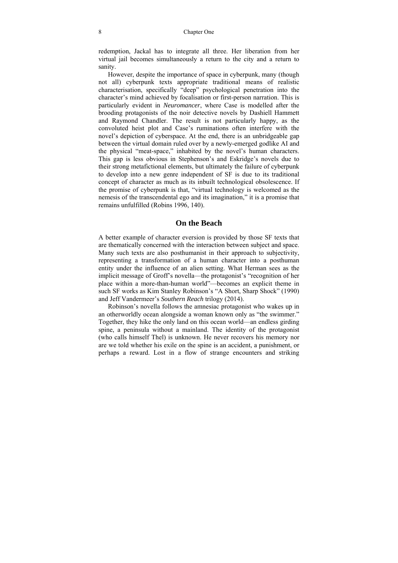redemption, Jackal has to integrate all three. Her liberation from her virtual jail becomes simultaneously a return to the city and a return to sanity.

However, despite the importance of space in cyberpunk, many (though not all) cyberpunk texts appropriate traditional means of realistic characterisation, specifically "deep" psychological penetration into the character's mind achieved by focalisation or first-person narration. This is particularly evident in *Neuromancer*, where Case is modelled after the brooding protagonists of the noir detective novels by Dashiell Hammett and Raymond Chandler. The result is not particularly happy, as the convoluted heist plot and Case's ruminations often interfere with the novel's depiction of cyberspace. At the end, there is an unbridgeable gap between the virtual domain ruled over by a newly-emerged godlike AI and the physical "meat-space," inhabited by the novel's human characters. This gap is less obvious in Stephenson's and Eskridge's novels due to their strong metafictional elements, but ultimately the failure of cyberpunk to develop into a new genre independent of SF is due to its traditional concept of character as much as its inbuilt technological obsolescence. If the promise of cyberpunk is that, "virtual technology is welcomed as the nemesis of the transcendental ego and its imagination," it is a promise that remains unfulfilled (Robins 1996, 140).

#### **On the Beach**

A better example of character eversion is provided by those SF texts that are thematically concerned with the interaction between subject and space. Many such texts are also posthumanist in their approach to subjectivity, representing a transformation of a human character into a posthuman entity under the influence of an alien setting. What Herman sees as the implicit message of Groff's novella—the protagonist's "recognition of her place within a more-than-human world"—becomes an explicit theme in such SF works as Kim Stanley Robinson's "A Short, Sharp Shock" (1990) and Jeff Vandermeer's *Southern Reach* trilogy (2014).

Robinson's novella follows the amnesiac protagonist who wakes up in an otherworldly ocean alongside a woman known only as "the swimmer." Together, they hike the only land on this ocean world—an endless girding spine, a peninsula without a mainland. The identity of the protagonist (who calls himself Thel) is unknown. He never recovers his memory nor are we told whether his exile on the spine is an accident, a punishment, or perhaps a reward. Lost in a flow of strange encounters and striking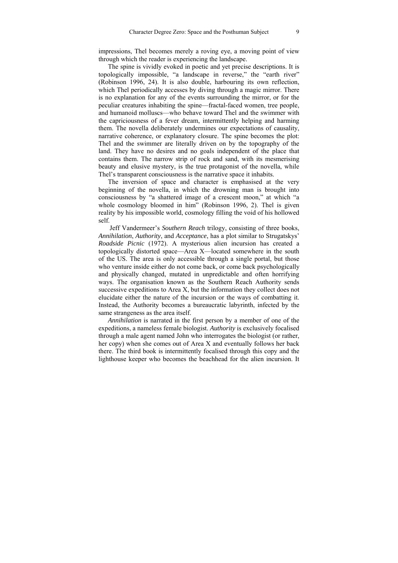impressions, Thel becomes merely a roving eye, a moving point of view through which the reader is experiencing the landscape.

The spine is vividly evoked in poetic and yet precise descriptions. It is topologically impossible, "a landscape in reverse," the "earth river" (Robinson 1996, 24). It is also double, harbouring its own reflection, which Thel periodically accesses by diving through a magic mirror. There is no explanation for any of the events surrounding the mirror, or for the peculiar creatures inhabiting the spine—fractal-faced women, tree people, and humanoid molluscs—who behave toward Thel and the swimmer with the capriciousness of a fever dream, intermittently helping and harming them. The novella deliberately undermines our expectations of causality, narrative coherence, or explanatory closure. The spine becomes the plot: Thel and the swimmer are literally driven on by the topography of the land. They have no desires and no goals independent of the place that contains them. The narrow strip of rock and sand, with its mesmerising beauty and elusive mystery, is the true protagonist of the novella, while Thel's transparent consciousness is the narrative space it inhabits.

The inversion of space and character is emphasised at the very beginning of the novella, in which the drowning man is brought into consciousness by "a shattered image of a crescent moon," at which "a whole cosmology bloomed in him" (Robinson 1996, 2). The is given reality by his impossible world, cosmology filling the void of his hollowed self.

 Jeff Vandermeer's *Southern Reach* trilogy, consisting of three books, *Annihilation*, *Authority*, and *Acceptance*, has a plot similar to Strugatskys' *Roadside Picnic* (1972). A mysterious alien incursion has created a topologically distorted space—Area X—located somewhere in the south of the US. The area is only accessible through a single portal, but those who venture inside either do not come back, or come back psychologically and physically changed, mutated in unpredictable and often horrifying ways. The organisation known as the Southern Reach Authority sends successive expeditions to Area X, but the information they collect does not elucidate either the nature of the incursion or the ways of combatting it. Instead, the Authority becomes a bureaucratic labyrinth, infected by the same strangeness as the area itself.

*Annihilation* is narrated in the first person by a member of one of the expeditions, a nameless female biologist. *Authority* is exclusively focalised through a male agent named John who interrogates the biologist (or rather, her copy) when she comes out of Area X and eventually follows her back there. The third book is intermittently focalised through this copy and the lighthouse keeper who becomes the beachhead for the alien incursion. It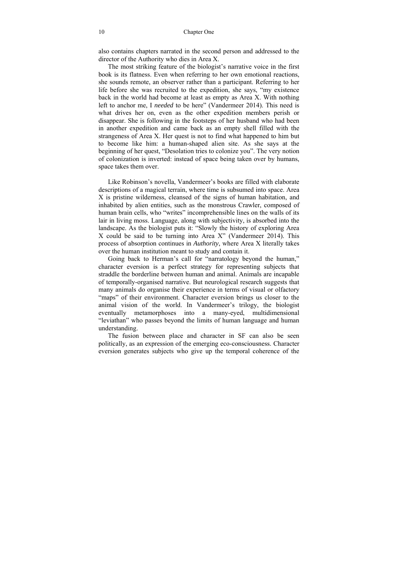also contains chapters narrated in the second person and addressed to the director of the Authority who dies in Area X.

The most striking feature of the biologist's narrative voice in the first book is its flatness. Even when referring to her own emotional reactions, she sounds remote, an observer rather than a participant. Referring to her life before she was recruited to the expedition, she says, "my existence back in the world had become at least as empty as Area X. With nothing left to anchor me, I *needed* to be here" (Vandermeer 2014). This need is what drives her on, even as the other expedition members perish or disappear. She is following in the footsteps of her husband who had been in another expedition and came back as an empty shell filled with the strangeness of Area X. Her quest is not to find what happened to him but to become like him: a human-shaped alien site. As she says at the beginning of her quest, "Desolation tries to colonize you". The very notion of colonization is inverted: instead of space being taken over by humans, space takes them over.

Like Robinson's novella, Vandermeer's books are filled with elaborate descriptions of a magical terrain, where time is subsumed into space. Area X is pristine wilderness, cleansed of the signs of human habitation, and inhabited by alien entities, such as the monstrous Crawler, composed of human brain cells, who "writes" incomprehensible lines on the walls of its lair in living moss. Language, along with subjectivity, is absorbed into the landscape. As the biologist puts it: "Slowly the history of exploring Area X could be said to be turning into Area X" (Vandermeer 2014). This process of absorption continues in *Authority*, where Area X literally takes over the human institution meant to study and contain it.

Going back to Herman's call for "narratology beyond the human," character eversion is a perfect strategy for representing subjects that straddle the borderline between human and animal. Animals are incapable of temporally-organised narrative. But neurological research suggests that many animals do organise their experience in terms of visual or olfactory "maps" of their environment. Character eversion brings us closer to the animal vision of the world. In Vandermeer's trilogy, the biologist eventually metamorphoses into a many-eyed, multidimensional "leviathan" who passes beyond the limits of human language and human understanding.

The fusion between place and character in SF can also be seen politically, as an expression of the emerging eco-consciousness. Character eversion generates subjects who give up the temporal coherence of the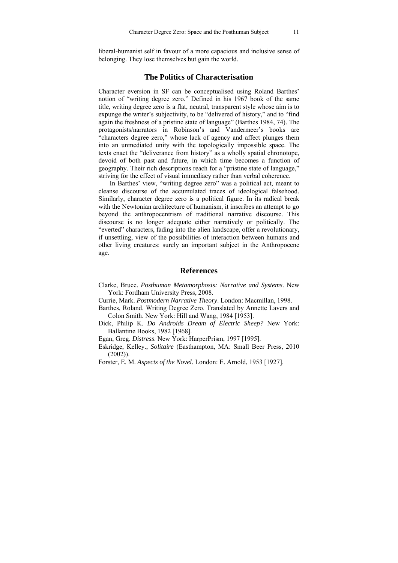liberal-humanist self in favour of a more capacious and inclusive sense of belonging. They lose themselves but gain the world.

#### **The Politics of Characterisation**

Character eversion in SF can be conceptualised using Roland Barthes' notion of "writing degree zero." Defined in his 1967 book of the same title, writing degree zero is a flat, neutral, transparent style whose aim is to expunge the writer's subjectivity, to be "delivered of history," and to "find again the freshness of a pristine state of language" (Barthes 1984, 74). The protagonists/narrators in Robinson's and Vandermeer's books are "characters degree zero," whose lack of agency and affect plunges them into an unmediated unity with the topologically impossible space. The texts enact the "deliverance from history" as a wholly spatial chronotope, devoid of both past and future, in which time becomes a function of geography. Their rich descriptions reach for a "pristine state of language," striving for the effect of visual immediacy rather than verbal coherence.

 In Barthes' view, "writing degree zero" was a political act, meant to cleanse discourse of the accumulated traces of ideological falsehood. Similarly, character degree zero is a political figure. In its radical break with the Newtonian architecture of humanism, it inscribes an attempt to go beyond the anthropocentrism of traditional narrative discourse. This discourse is no longer adequate either narratively or politically. The "everted" characters, fading into the alien landscape, offer a revolutionary, if unsettling, view of the possibilities of interaction between humans and other living creatures: surely an important subject in the Anthropocene age.

#### **References**

- Clarke, Bruce. *Posthuman Metamorphosis: Narrative and Systems*. New York: Fordham University Press, 2008.
- Currie, Mark. *Postmodern Narrative Theory*. London: Macmillan, 1998.
- Barthes, Roland. Writing Degree Zero. Translated by Annette Lavers and Colon Smith. New York: Hill and Wang, 1984 [1953].
- Dick, Philip K. *Do Androids Dream of Electric Sheep?* New York: Ballantine Books, 1982 [1968].
- Egan, Greg. *Distress*. New York: HarperPrism, 1997 [1995].
- Eskridge, Kelley., *Solitaire* (Easthampton, MA: Small Beer Press, 2010 (2002)).
- Forster, E. M. *Aspects of the Novel*. London: E. Arnold, 1953 [1927].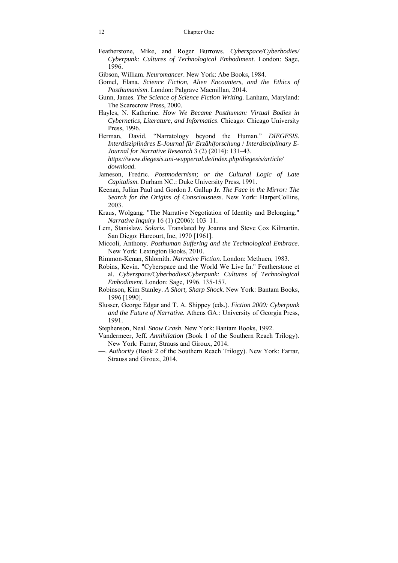- Featherstone, Mike, and Roger Burrows. *Cyberspace/Cyberbodies/ Cyberpunk: Cultures of Technological Embodiment*. London: Sage, 1996.
- Gibson, William. *Neuromancer*. New York: Abe Books, 1984.
- Gomel, Elana. *Science Fiction, Alien Encounters, and the Ethics of Posthumanism*. London: Palgrave Macmillan, 2014.
- Gunn, James. *The Science of Science Fiction Writing*. Lanham, Maryland: The Scarecrow Press, 2000.
- Hayles, N. Katherine. *How We Became Posthuman: Virtual Bodies in Cybernetics, Literature, and Informatics*. Chicago: Chicago University Press, 1996.

Herman, David. "Narratology beyond the Human." *DIEGESIS. Interdisziplinäres E-Journal für Erzählforschung* / *Interdisciplinary E-Journal for Narrative Research* 3 (2) (2014): 131–43. *https://www.diegesis.uni-wuppertal.de/index.php/diegesis/article/* 

*download.*

- Jameson, Fredric. *Postmodernism; or the Cultural Logic of Late Capitalism.* Durham NC.: Duke University Press, 1991.
- Keenan, Julian Paul and Gordon J. Gallup Jr. *The Face in the Mirror: The Search for the Origins of Consciousness*. New York: HarperCollins, 2003.
- Kraus, Wolgang. "The Narrative Negotiation of Identity and Belonging." *Narrative Inquiry* 16 (1) (2006): 103–11.
- Lem, Stanislaw*. Solaris*. Translated by Joanna and Steve Cox Kilmartin. San Diego: Harcourt, Inc, 1970 [1961].
- Miccoli, Anthony. *Posthuman Suffering and the Technological Embrace*. New York: Lexington Books, 2010.
- Rimmon-Kenan, Shlomith. *Narrative Fiction*. London: Methuen, 1983.
- Robins, Kevin. "Cyberspace and the World We Live In." Featherstone et al. *Cyberspace/Cyberbodies/Cyberpunk: Cultures of Technological Embodiment*. London: Sage, 1996. 135-157.
- Robinson, Kim Stanley. *A Short, Sharp Shock*. New York: Bantam Books, 1996 [1990].
- Slusser, George Edgar and T. A. Shippey (eds.). *Fiction 2000: Cyberpunk and the Future of Narrative.* Athens GA.: University of Georgia Press, 1991.
- Stephenson, Neal. *Snow Crash*. New York: Bantam Books, 1992.
- Vandermeer, Jeff. *Annihilation* (Book 1 of the Southern Reach Trilogy). New York: Farrar, Strauss and Giroux, 2014.
- —. *Authority* (Book 2 of the Southern Reach Trilogy). New York: Farrar, Strauss and Giroux, 2014.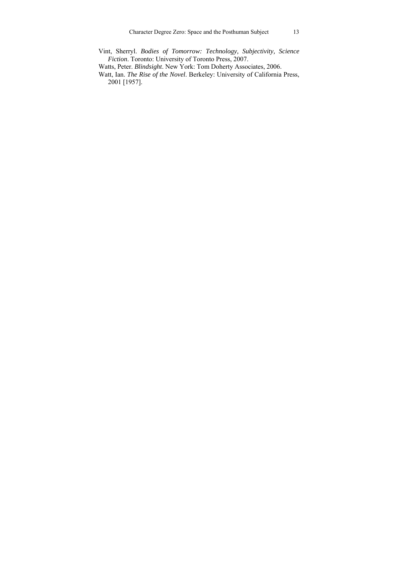- Vint, Sherryl. *Bodies of Tomorrow: Technology, Subjectivity, Science Fiction*. Toronto: University of Toronto Press, 2007.
- Watts, Peter. *Blindsight*. New York: Tom Doherty Associates, 2006.
- Watt, Ian. *The Rise of the Novel*. Berkeley: University of California Press, 2001 [1957].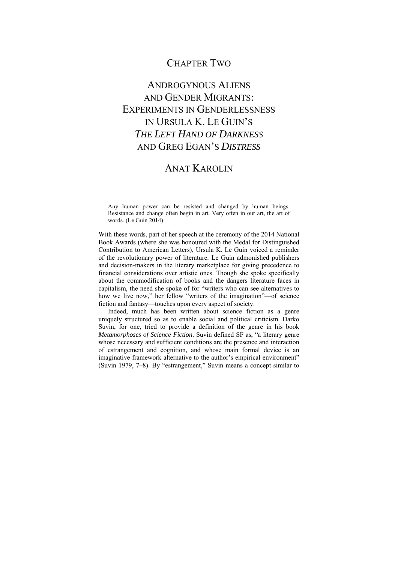## CHAPTER TWO

## ANDROGYNOUS ALIENS AND GENDER MIGRANTS: EXPERIMENTS IN GENDERLESSNESS IN URSULA K. LE GUIN'S *THE LEFT HAND OF DARKNESS*  AND GREG EGAN'S *DISTRESS*

## ANAT KAROLIN

Any human power can be resisted and changed by human beings. Resistance and change often begin in art. Very often in our art, the art of words. (Le Guin 2014)

With these words, part of her speech at the ceremony of the 2014 National Book Awards (where she was honoured with the Medal for Distinguished Contribution to American Letters), Ursula K. Le Guin voiced a reminder of the revolutionary power of literature. Le Guin admonished publishers and decision-makers in the literary marketplace for giving precedence to financial considerations over artistic ones. Though she spoke specifically about the commodification of books and the dangers literature faces in capitalism, the need she spoke of for "writers who can see alternatives to how we live now," her fellow "writers of the imagination"—of science fiction and fantasy—touches upon every aspect of society.

Indeed, much has been written about science fiction as a genre uniquely structured so as to enable social and political criticism. Darko Suvin, for one, tried to provide a definition of the genre in his book *Metamorphoses of Science Fiction*. Suvin defined SF as, "a literary genre whose necessary and sufficient conditions are the presence and interaction of estrangement and cognition, and whose main formal device is an imaginative framework alternative to the author's empirical environment" (Suvin 1979, 7–8). By "estrangement," Suvin means a concept similar to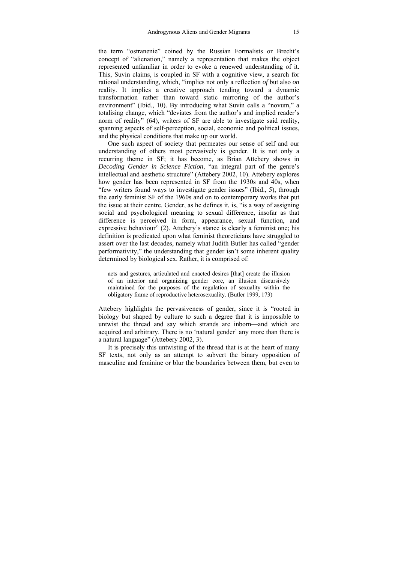the term "ostranenie" coined by the Russian Formalists or Brecht's concept of "alienation," namely a representation that makes the object represented unfamiliar in order to evoke a renewed understanding of it. This, Suvin claims, is coupled in SF with a cognitive view, a search for rational understanding, which, "implies not only a reflection *of* but also *on* reality. It implies a creative approach tending toward a dynamic transformation rather than toward static mirroring of the author's environment" (Ibid., 10). By introducing what Suvin calls a "novum," a totalising change, which "deviates from the author's and implied reader's norm of reality" (64), writers of SF are able to investigate said reality, spanning aspects of self-perception, social, economic and political issues, and the physical conditions that make up our world.

One such aspect of society that permeates our sense of self and our understanding of others most pervasively is gender. It is not only a recurring theme in SF; it has become, as Brian Attebery shows in *Decoding Gender in Science Fiction*, "an integral part of the genre's intellectual and aesthetic structure" (Attebery 2002, 10). Attebery explores how gender has been represented in SF from the 1930s and 40s, when "few writers found ways to investigate gender issues" (Ibid., 5), through the early feminist SF of the 1960s and on to contemporary works that put the issue at their centre. Gender, as he defines it, is, "is a way of assigning social and psychological meaning to sexual difference, insofar as that difference is perceived in form, appearance, sexual function, and expressive behaviour" (2). Attebery's stance is clearly a feminist one; his definition is predicated upon what feminist theoreticians have struggled to assert over the last decades, namely what Judith Butler has called "gender performativity," the understanding that gender isn't some inherent quality determined by biological sex. Rather, it is comprised of:

acts and gestures, articulated and enacted desires [that] create the illusion of an interior and organizing gender core, an illusion discursively maintained for the purposes of the regulation of sexuality within the obligatory frame of reproductive heterosexuality. (Butler 1999, 173)

Attebery highlights the pervasiveness of gender, since it is "rooted in biology but shaped by culture to such a degree that it is impossible to untwist the thread and say which strands are inborn—and which are acquired and arbitrary. There is no 'natural gender' any more than there is a natural language" (Attebery 2002, 3).

It is precisely this untwisting of the thread that is at the heart of many SF texts, not only as an attempt to subvert the binary opposition of masculine and feminine or blur the boundaries between them, but even to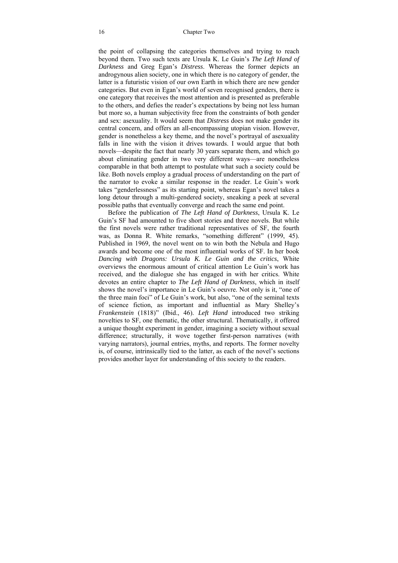the point of collapsing the categories themselves and trying to reach beyond them. Two such texts are Ursula K. Le Guin's *The Left Hand of Darkness* and Greg Egan's *Distress*. Whereas the former depicts an androgynous alien society, one in which there is no category of gender, the latter is a futuristic vision of our own Earth in which there are new gender categories. But even in Egan's world of seven recognised genders, there is one category that receives the most attention and is presented as preferable to the others, and defies the reader's expectations by being not less human but more so, a human subjectivity free from the constraints of both gender and sex: asexuality. It would seem that *Distress* does not make gender its central concern, and offers an all-encompassing utopian vision. However, gender is nonetheless a key theme, and the novel's portrayal of asexuality falls in line with the vision it drives towards. I would argue that both novels—despite the fact that nearly 30 years separate them, and which go about eliminating gender in two very different ways—are nonetheless comparable in that both attempt to postulate what such a society could be like. Both novels employ a gradual process of understanding on the part of the narrator to evoke a similar response in the reader. Le Guin's work takes "genderlessness" as its starting point, whereas Egan's novel takes a long detour through a multi-gendered society, sneaking a peek at several possible paths that eventually converge and reach the same end point.

Before the publication of *The Left Hand of Darkness*, Ursula K. Le Guin's SF had amounted to five short stories and three novels. But while the first novels were rather traditional representatives of SF, the fourth was, as Donna R. White remarks, "something different" (1999, 45). Published in 1969, the novel went on to win both the Nebula and Hugo awards and become one of the most influential works of SF. In her book *Dancing with Dragons: Ursula K. Le Guin and the critics*, White overviews the enormous amount of critical attention Le Guin's work has received, and the dialogue she has engaged in with her critics. White devotes an entire chapter to *The Left Hand of Darkness*, which in itself shows the novel's importance in Le Guin's oeuvre. Not only is it, "one of the three main foci" of Le Guin's work, but also, "one of the seminal texts of science fiction, as important and influential as Mary Shelley's *Frankenstein* (1818)" (Ibid., 46). *Left Hand* introduced two striking novelties to SF, one thematic, the other structural. Thematically, it offered a unique thought experiment in gender, imagining a society without sexual difference; structurally, it wove together first-person narratives (with varying narrators), journal entries, myths, and reports. The former novelty is, of course, intrinsically tied to the latter, as each of the novel's sections provides another layer for understanding of this society to the readers.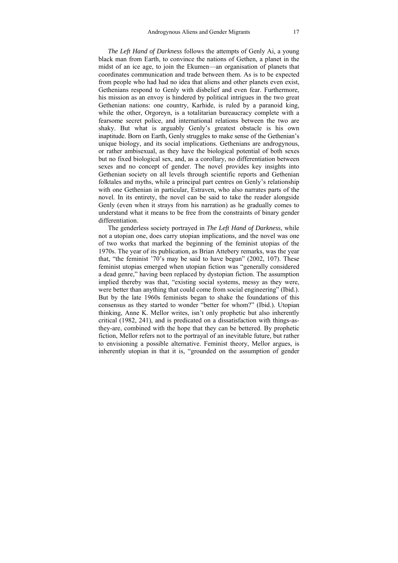*The Left Hand of Darkness* follows the attempts of Genly Ai, a young black man from Earth, to convince the nations of Gethen, a planet in the midst of an ice age, to join the Ekumen—an organisation of planets that coordinates communication and trade between them. As is to be expected from people who had had no idea that aliens and other planets even exist, Gethenians respond to Genly with disbelief and even fear. Furthermore, his mission as an envoy is hindered by political intrigues in the two great Gethenian nations: one country, Karhide, is ruled by a paranoid king, while the other, Orgoreyn, is a totalitarian bureaucracy complete with a fearsome secret police, and international relations between the two are shaky. But what is arguably Genly's greatest obstacle is his own inaptitude. Born on Earth, Genly struggles to make sense of the Gethenian's unique biology, and its social implications. Gethenians are androgynous, or rather ambisexual, as they have the biological potential of both sexes but no fixed biological sex, and, as a corollary, no differentiation between sexes and no concept of gender. The novel provides key insights into Gethenian society on all levels through scientific reports and Gethenian folktales and myths, while a principal part centres on Genly's relationship with one Gethenian in particular, Estraven, who also narrates parts of the novel. In its entirety, the novel can be said to take the reader alongside Genly (even when it strays from his narration) as he gradually comes to understand what it means to be free from the constraints of binary gender differentiation.

The genderless society portrayed in *The Left Hand of Darkness*, while not a utopian one, does carry utopian implications, and the novel was one of two works that marked the beginning of the feminist utopias of the 1970s. The year of its publication, as Brian Attebery remarks, was the year that, "the feminist  $70$ 's may be said to have begun" (2002, 107). These feminist utopias emerged when utopian fiction was "generally considered a dead genre," having been replaced by dystopian fiction. The assumption implied thereby was that, "existing social systems, messy as they were, were better than anything that could come from social engineering" (Ibid.). But by the late 1960s feminists began to shake the foundations of this consensus as they started to wonder "better for whom?" (Ibid.). Utopian thinking, Anne K. Mellor writes, isn't only prophetic but also inherently critical (1982, 241), and is predicated on a dissatisfaction with things-asthey-are, combined with the hope that they can be bettered. By prophetic fiction, Mellor refers not to the portrayal of an inevitable future, but rather to envisioning a possible alternative. Feminist theory, Mellor argues, is inherently utopian in that it is, "grounded on the assumption of gender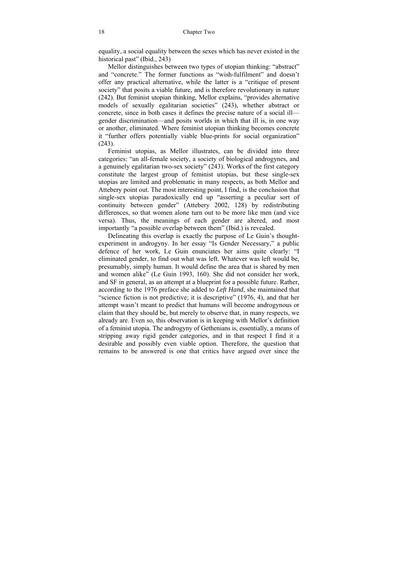equality, a social equality between the sexes which has never existed in the historical past" (Ibid., 243)

Mellor distinguishes between two types of utopian thinking: "abstract" and "concrete." The former functions as "wish-fulfilment" and doesn't offer any practical alternative, while the latter is a "critique of present society" that posits a viable future, and is therefore revolutionary in nature (242). But feminist utopian thinking, Mellor explains, "provides alternative models of sexually egalitarian societies" (243), whether abstract or concrete, since in both cases it defines the precise nature of a social ill gender discrimination—and posits worlds in which that ill is, in one way or another, eliminated. Where feminist utopian thinking becomes concrete it "further offers potentially viable blue-prints for social organization"  $(243)$ .

Feminist utopias, as Mellor illustrates, can be divided into three categories: "an all-female society, a society of biological androgynes, and a genuinely egalitarian two-sex society" (243). Works of the first category constitute the largest group of feminist utopias, but these single-sex utopias are limited and problematic in many respects, as both Mellor and Attebery point out. The most interesting point, I find, is the conclusion that single-sex utopias paradoxically end up "asserting a peculiar sort of continuity between gender" (Attebery 2002, 128) by redistributing differences, so that women alone turn out to be more like men (and vice versa). Thus, the meanings of each gender are altered, and most importantly "a possible overlap between them" (Ibid.) is revealed.

Delineating this overlap is exactly the purpose of Le Guin's thoughtexperiment in androgyny. In her essay "Is Gender Necessary," a public defence of her work, Le Guin enunciates her aims quite clearly: "I eliminated gender, to find out what was left. Whatever was left would be, presumably, simply human. It would define the area that is shared by men and women alike" (Le Guin 1993, 160). She did not consider her work, and SF in general, as an attempt at a blueprint for a possible future. Rather, according to the 1976 preface she added to *Left Hand*, she maintained that "science fiction is not predictive; it is descriptive" (1976, 4), and that her attempt wasn't meant to predict that humans will become androgynous or claim that they should be, but merely to observe that, in many respects, we already are. Even so, this observation is in keeping with Mellor's definition of a feminist utopia. The androgyny of Gethenians is, essentially, a means of stripping away rigid gender categories, and in that respect I find it a desirable and possibly even viable option. Therefore, the question that remains to be answered is one that critics have argued over since the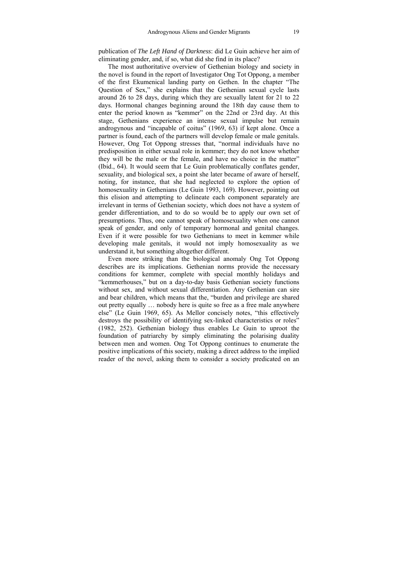publication of *The Left Hand of Darkness*: did Le Guin achieve her aim of eliminating gender, and, if so, what did she find in its place?

The most authoritative overview of Gethenian biology and society in the novel is found in the report of Investigator Ong Tot Oppong, a member of the first Ekumenical landing party on Gethen. In the chapter "The Question of Sex," she explains that the Gethenian sexual cycle lasts around 26 to 28 days, during which they are sexually latent for 21 to 22 days. Hormonal changes beginning around the 18th day cause them to enter the period known as "kemmer" on the 22nd or 23rd day. At this stage, Gethenians experience an intense sexual impulse but remain androgynous and "incapable of coitus" (1969, 63) if kept alone. Once a partner is found, each of the partners will develop female or male genitals. However, Ong Tot Oppong stresses that, "normal individuals have no predisposition in either sexual role in kemmer; they do not know whether they will be the male or the female, and have no choice in the matter" (Ibid., 64). It would seem that Le Guin problematically conflates gender, sexuality, and biological sex, a point she later became of aware of herself, noting, for instance, that she had neglected to explore the option of homosexuality in Gethenians (Le Guin 1993, 169). However, pointing out this elision and attempting to delineate each component separately are irrelevant in terms of Gethenian society, which does not have a system of gender differentiation, and to do so would be to apply our own set of presumptions. Thus, one cannot speak of homosexuality when one cannot speak of gender, and only of temporary hormonal and genital changes. Even if it were possible for two Gethenians to meet in kemmer while developing male genitals, it would not imply homosexuality as we understand it, but something altogether different.

Even more striking than the biological anomaly Ong Tot Oppong describes are its implications. Gethenian norms provide the necessary conditions for kemmer, complete with special monthly holidays and "kemmerhouses," but on a day-to-day basis Gethenian society functions without sex, and without sexual differentiation. Any Gethenian can sire and bear children, which means that the, "burden and privilege are shared out pretty equally … nobody here is quite so free as a free male anywhere else" (Le Guin 1969, 65). As Mellor concisely notes, "this effectively destroys the possibility of identifying sex-linked characteristics or roles" (1982, 252). Gethenian biology thus enables Le Guin to uproot the foundation of patriarchy by simply eliminating the polarising duality between men and women. Ong Tot Oppong continues to enumerate the positive implications of this society, making a direct address to the implied reader of the novel, asking them to consider a society predicated on an